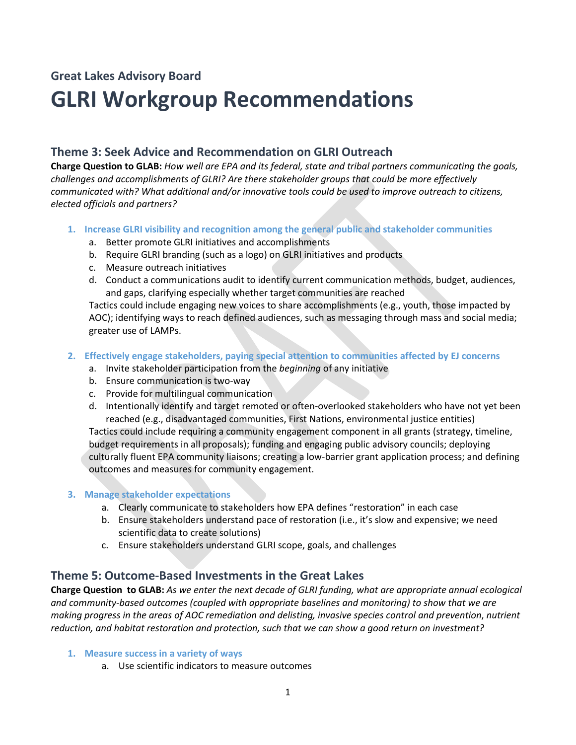# **Great Lakes Advisory Board**

# **GLRI Workgroup Recommendations**

# **Theme 3: Seek Advice and Recommendation on GLRI Outreach**

**Charge Question to GLAB:** *How well are EPA and its federal, state and tribal partners communicating the goals, challenges and accomplishments of GLRI? Are there stakeholder groups that could be more effectively communicated with? What additional and/or innovative tools could be used to improve outreach to citizens, elected officials and partners?*

- **1. Increase GLRI visibility and recognition among the general public and stakeholder communities**
	- a. Better promote GLRI initiatives and accomplishments
	- b. Require GLRI branding (such as a logo) on GLRI initiatives and products
	- c. Measure outreach initiatives
	- d. Conduct a communications audit to identify current communication methods, budget, audiences, and gaps, clarifying especially whether target communities are reached

Tactics could include engaging new voices to share accomplishments (e.g., youth, those impacted by AOC); identifying ways to reach defined audiences, such as messaging through mass and social media; greater use of LAMPs.

- **2. Effectively engage stakeholders, paying special attention to communities affected by EJ concerns**
	- a. Invite stakeholder participation from the *beginning* of any initiative
	- b. Ensure communication is two-way
	- c. Provide for multilingual communication
	- d. Intentionally identify and target remoted or often-overlooked stakeholders who have not yet been reached (e.g., disadvantaged communities, First Nations, environmental justice entities)

Tactics could include requiring a community engagement component in all grants (strategy, timeline, budget requirements in all proposals); funding and engaging public advisory councils; deploying culturally fluent EPA community liaisons; creating a low-barrier grant application process; and defining outcomes and measures for community engagement.

## **3. Manage stakeholder expectations**

- a. Clearly communicate to stakeholders how EPA defines "restoration" in each case
- b. Ensure stakeholders understand pace of restoration (i.e., it's slow and expensive; we need scientific data to create solutions)
- c. Ensure stakeholders understand GLRI scope, goals, and challenges

## **Theme 5: Outcome-Based Investments in the Great Lakes**

**Charge Question to GLAB:** *As we enter the next decade of GLRI funding, what are appropriate annual ecological and community-based outcomes (coupled with appropriate baselines and monitoring) to show that we are making progress in the areas of AOC remediation and delisting, invasive species control and prevention*, *nutrient reduction, and habitat restoration and protection, such that we can show a good return on investment?*

- **1. Measure success in a variety of ways**
	- a. Use scientific indicators to measure outcomes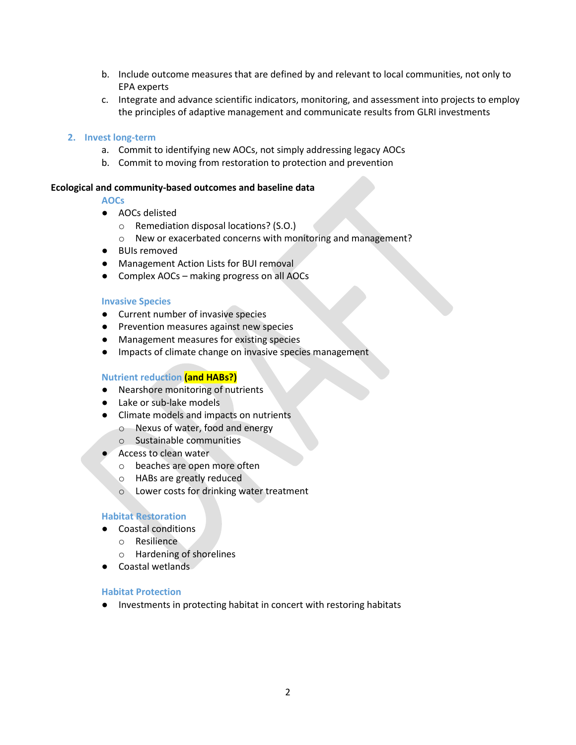- b. Include outcome measures that are defined by and relevant to local communities, not only to EPA experts
- c. Integrate and advance scientific indicators, monitoring, and assessment into projects to employ the principles of adaptive management and communicate results from GLRI investments

#### **2. Invest long-term**

- a. Commit to identifying new AOCs, not simply addressing legacy AOCs
- b. Commit to moving from restoration to protection and prevention

#### **Ecological and community-based outcomes and baseline data**

#### **AOCs**

- AOCs delisted
	- o Remediation disposal locations? (S.O.)
	- o New or exacerbated concerns with monitoring and management?
- BUIs removed
- Management Action Lists for BUI removal
- Complex AOCs making progress on all AOCs

#### **Invasive Species**

- Current number of invasive species
- Prevention measures against new species
- Management measures for existing species
- Impacts of climate change on invasive species management

#### **Nutrient reduction (and HABs?)**

- Nearshore monitoring of nutrients
- Lake or sub-lake models
- Climate models and impacts on nutrients
	- o Nexus of water, food and energy
	- o Sustainable communities
- Access to clean water
	- o beaches are open more often
	- o HABs are greatly reduced
	- o Lower costs for drinking water treatment

#### **Habitat Restoration**

- Coastal conditions
	- o Resilience
	- o Hardening of shorelines
- Coastal wetlands

#### **Habitat Protection**

● Investments in protecting habitat in concert with restoring habitats